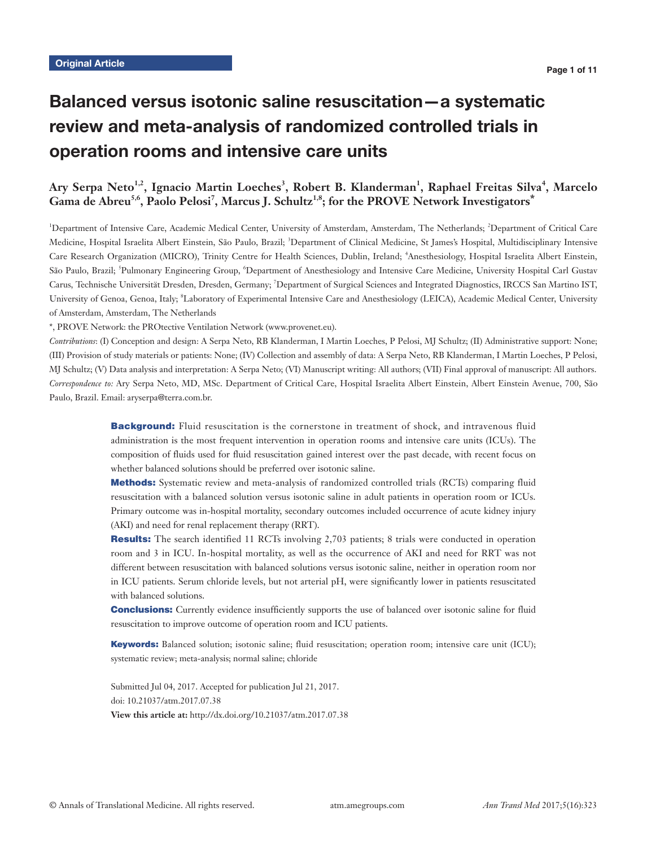# Balanced versus isotonic saline resuscitation—a systematic review and meta-analysis of randomized controlled trials in operation rooms and intensive care units

# Ary Serpa Neto<sup>1,2</sup>, Ignacio Martin Loeches<sup>3</sup>, Robert B. Klanderman<sup>1</sup>, Raphael Freitas Silva<sup>4</sup>, Marcelo Gama de Abreu<sup>5,6</sup>, Paolo Pelosi<sup>7</sup>, Marcus J. Schultz<sup>1,8</sup>; for the PROVE Network Investigators<sup>\*</sup>

<sup>1</sup>Department of Intensive Care, Academic Medical Center, University of Amsterdam, Amsterdam, The Netherlands; <sup>2</sup>Department of Critical Care Medicine, Hospital Israelita Albert Einstein, São Paulo, Brazil; <sup>3</sup>Department of Clinical Medicine, St James's Hospital, Multidisciplinary Intensive Care Research Organization (MICRO), Trinity Centre for Health Sciences, Dublin, Ireland; <sup>4</sup>Anesthesiology, Hospital Israelita Albert Einstein, São Paulo, Brazil; <sup>5</sup>Pulmonary Engineering Group, <sup>6</sup>Department of Anesthesiology and Intensive Care Medicine, University Hospital Carl Gustav Carus, Technische Universität Dresden, Dresden, Germany; <sup>7</sup> Department of Surgical Sciences and Integrated Diagnostics, IRCCS San Martino IST, University of Genoa, Genoa, Italy; <sup>8</sup>Laboratory of Experimental Intensive Care and Anesthesiology (LEICA), Academic Medical Center, University of Amsterdam, Amsterdam, The Netherlands

\*, PROVE Network: the PROtective Ventilation Network (www.provenet.eu).

*Contributions*: (I) Conception and design: A Serpa Neto, RB Klanderman, I Martin Loeches, P Pelosi, MJ Schultz; (II) Administrative support: None; (III) Provision of study materials or patients: None; (IV) Collection and assembly of data: A Serpa Neto, RB Klanderman, I Martin Loeches, P Pelosi, MJ Schultz; (V) Data analysis and interpretation: A Serpa Neto; (VI) Manuscript writing: All authors; (VII) Final approval of manuscript: All authors. *Correspondence to:* Ary Serpa Neto, MD, MSc. Department of Critical Care, Hospital Israelita Albert Einstein, Albert Einstein Avenue, 700, São Paulo, Brazil. Email: aryserpa@terra.com.br.

> **Background:** Fluid resuscitation is the cornerstone in treatment of shock, and intravenous fluid administration is the most frequent intervention in operation rooms and intensive care units (ICUs). The composition of fluids used for fluid resuscitation gained interest over the past decade, with recent focus on whether balanced solutions should be preferred over isotonic saline.

> Methods: Systematic review and meta-analysis of randomized controlled trials (RCTs) comparing fluid resuscitation with a balanced solution versus isotonic saline in adult patients in operation room or ICUs. Primary outcome was in-hospital mortality, secondary outcomes included occurrence of acute kidney injury (AKI) and need for renal replacement therapy (RRT).

> Results: The search identified 11 RCTs involving 2,703 patients; 8 trials were conducted in operation room and 3 in ICU. In-hospital mortality, as well as the occurrence of AKI and need for RRT was not different between resuscitation with balanced solutions versus isotonic saline, neither in operation room nor in ICU patients. Serum chloride levels, but not arterial pH, were significantly lower in patients resuscitated with balanced solutions.

> **Conclusions:** Currently evidence insufficiently supports the use of balanced over isotonic saline for fluid resuscitation to improve outcome of operation room and ICU patients.

> Keywords: Balanced solution; isotonic saline; fluid resuscitation; operation room; intensive care unit (ICU); systematic review; meta-analysis; normal saline; chloride

Submitted Jul 04, 2017. Accepted for publication Jul 21, 2017. doi: 10.21037/atm.2017.07.38 **View this article at:** http://dx.doi.org/10.21037/atm.2017.07.38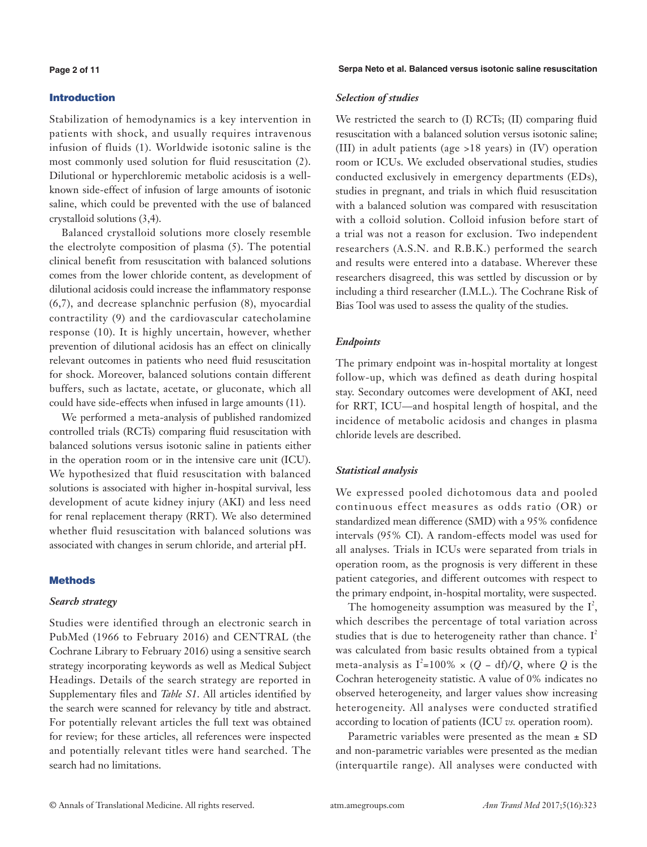# **Page 2 of 11**

# Introduction

Stabilization of hemodynamics is a key intervention in patients with shock, and usually requires intravenous infusion of fluids (1). Worldwide isotonic saline is the most commonly used solution for fluid resuscitation (2). Dilutional or hyperchloremic metabolic acidosis is a wellknown side-effect of infusion of large amounts of isotonic saline, which could be prevented with the use of balanced crystalloid solutions (3,4).

Balanced crystalloid solutions more closely resemble the electrolyte composition of plasma (5). The potential clinical benefit from resuscitation with balanced solutions comes from the lower chloride content, as development of dilutional acidosis could increase the inflammatory response (6,7), and decrease splanchnic perfusion (8), myocardial contractility (9) and the cardiovascular catecholamine response (10). It is highly uncertain, however, whether prevention of dilutional acidosis has an effect on clinically relevant outcomes in patients who need fluid resuscitation for shock. Moreover, balanced solutions contain different buffers, such as lactate, acetate, or gluconate, which all could have side-effects when infused in large amounts (11).

We performed a meta-analysis of published randomized controlled trials (RCTs) comparing fluid resuscitation with balanced solutions versus isotonic saline in patients either in the operation room or in the intensive care unit (ICU). We hypothesized that fluid resuscitation with balanced solutions is associated with higher in-hospital survival, less development of acute kidney injury (AKI) and less need for renal replacement therapy (RRT). We also determined whether fluid resuscitation with balanced solutions was associated with changes in serum chloride, and arterial pH.

# **Methods**

# *Search strategy*

Studies were identified through an electronic search in PubMed (1966 to February 2016) and CENTRAL (the Cochrane Library to February 2016) using a sensitive search strategy incorporating keywords as well as Medical Subject Headings. Details of the search strategy are reported in Supplementary files and *Table S1*. All articles identified by the search were scanned for relevancy by title and abstract. For potentially relevant articles the full text was obtained for review; for these articles, all references were inspected and potentially relevant titles were hand searched. The search had no limitations.

**Serpa Neto et al. Balanced versus isotonic saline resuscitation**

# *Selection of studies*

We restricted the search to (I) RCTs; (II) comparing fluid resuscitation with a balanced solution versus isotonic saline; (III) in adult patients (age >18 years) in (IV) operation room or ICUs. We excluded observational studies, studies conducted exclusively in emergency departments (EDs), studies in pregnant, and trials in which fluid resuscitation with a balanced solution was compared with resuscitation with a colloid solution. Colloid infusion before start of a trial was not a reason for exclusion. Two independent researchers (A.S.N. and R.B.K.) performed the search and results were entered into a database. Wherever these researchers disagreed, this was settled by discussion or by including a third researcher (I.M.L.). The Cochrane Risk of Bias Tool was used to assess the quality of the studies.

# *Endpoints*

The primary endpoint was in-hospital mortality at longest follow-up, which was defined as death during hospital stay. Secondary outcomes were development of AKI, need for RRT, ICU—and hospital length of hospital, and the incidence of metabolic acidosis and changes in plasma chloride levels are described.

# *Statistical analysis*

We expressed pooled dichotomous data and pooled continuous effect measures as odds ratio (OR) or standardized mean difference (SMD) with a 95% confidence intervals (95% CI). A random-effects model was used for all analyses. Trials in ICUs were separated from trials in operation room, as the prognosis is very different in these patient categories, and different outcomes with respect to the primary endpoint, in-hospital mortality, were suspected.

The homogeneity assumption was measured by the  $I^2$ , which describes the percentage of total variation across studies that is due to heterogeneity rather than chance.  $I^2$ was calculated from basic results obtained from a typical meta-analysis as  $I^2=100\% \times (Q - df)/Q$ , where *Q* is the Cochran heterogeneity statistic. A value of 0% indicates no observed heterogeneity, and larger values show increasing heterogeneity. All analyses were conducted stratified according to location of patients (ICU *vs.* operation room).

Parametric variables were presented as the mean ± SD and non-parametric variables were presented as the median (interquartile range). All analyses were conducted with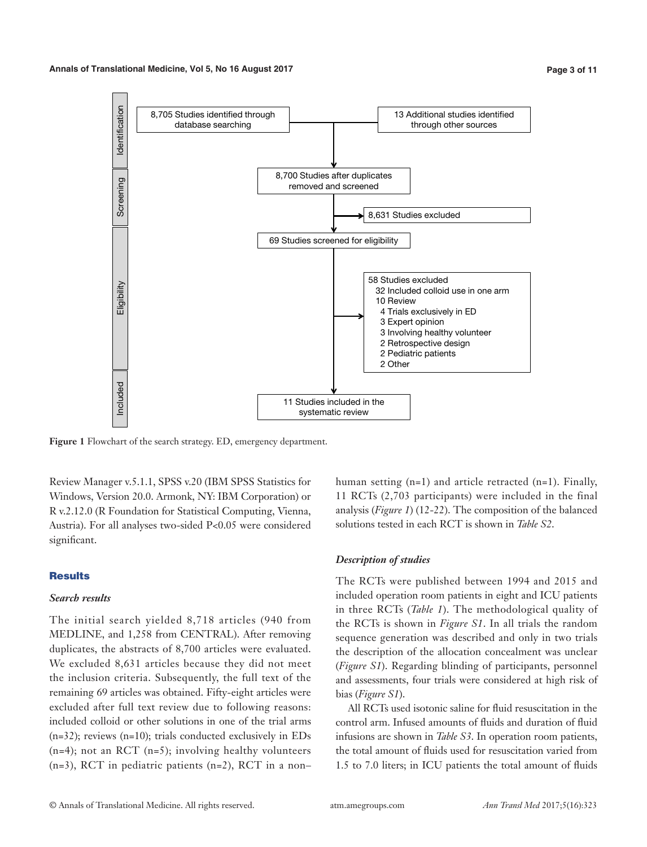#### **Annals of Translational Medicine, Vol 5, No 16 August 2017 Page 3 of 11**



**Figure 1** Flowchart of the search strategy. ED, emergency department.

Review Manager v.5.1.1, SPSS v.20 (IBM SPSS Statistics for Windows, Version 20.0. Armonk, NY: IBM Corporation) or R v.2.12.0 (R Foundation for Statistical Computing, Vienna, Austria). For all analyses two-sided P<0.05 were considered significant.

# **Results**

# *Search results*

The initial search yielded 8,718 articles (940 from MEDLINE, and 1,258 from CENTRAL). After removing duplicates, the abstracts of 8,700 articles were evaluated. We excluded 8,631 articles because they did not meet the inclusion criteria. Subsequently, the full text of the remaining 69 articles was obtained. Fifty-eight articles were excluded after full text review due to following reasons: included colloid or other solutions in one of the trial arms (n=32); reviews (n=10); trials conducted exclusively in EDs (n=4); not an RCT (n=5); involving healthy volunteers (n=3), RCT in pediatric patients (n=2), RCT in a non–

human setting (n=1) and article retracted (n=1). Finally, 11 RCTs (2,703 participants) were included in the final analysis (*Figure 1*) (12-22). The composition of the balanced solutions tested in each RCT is shown in *Table S2*.

# *Description of studies*

The RCTs were published between 1994 and 2015 and included operation room patients in eight and ICU patients in three RCTs (*Table 1*). The methodological quality of the RCTs is shown in *Figure S1*. In all trials the random sequence generation was described and only in two trials the description of the allocation concealment was unclear (*Figure S1*). Regarding blinding of participants, personnel and assessments, four trials were considered at high risk of bias (*Figure S1*).

All RCTs used isotonic saline for fluid resuscitation in the control arm. Infused amounts of fluids and duration of fluid infusions are shown in *Table S3*. In operation room patients, the total amount of fluids used for resuscitation varied from 1.5 to 7.0 liters; in ICU patients the total amount of fluids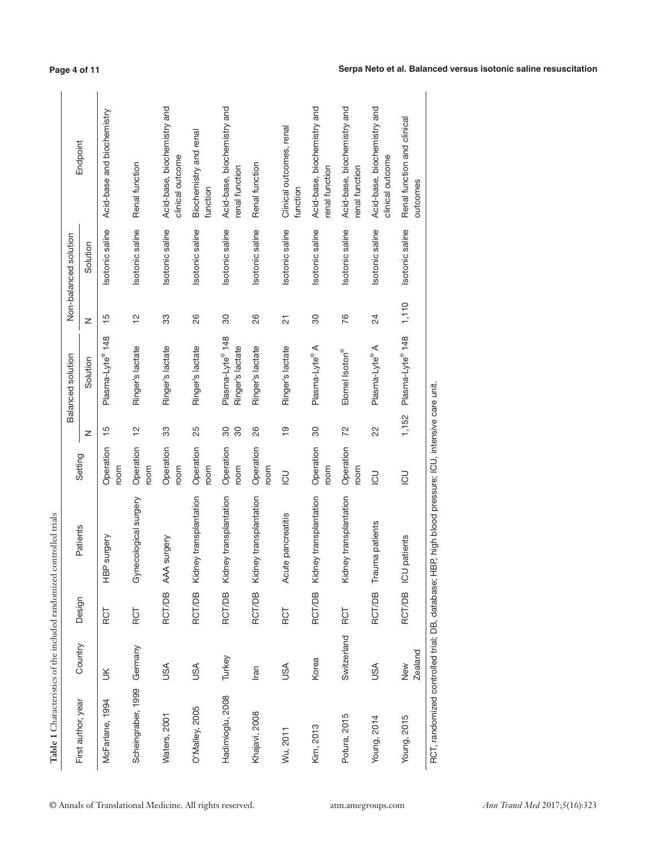| Table 1 Characteristics of the included randomized controlled trials |                       |               |                                                     |                   |                |                                                  |                          |                       |                                                 |
|----------------------------------------------------------------------|-----------------------|---------------|-----------------------------------------------------|-------------------|----------------|--------------------------------------------------|--------------------------|-----------------------|-------------------------------------------------|
| First author, year                                                   | Country               |               | Patients                                            | Setting           |                | Balanced solution                                |                          | Non-balanced solution | Endpoint                                        |
|                                                                      |                       | Design        |                                                     |                   | z              | Solution                                         | z                        | Solution              |                                                 |
| McFarlane, 1994                                                      | š                     | <b>RCT</b>    | HBP surgery                                         | Operation<br>room | $\frac{5}{1}$  | Plasma-Lyte <sup>®</sup> 148                     | $\frac{5}{5}$            | Isotonic saline       | Acid-base and biochemistry                      |
| Scheingraber, 1999                                                   | Germany               | <b>RCT</b>    | Gynecological surgery                               | Operation<br>room | $\frac{1}{2}$  | Ringer's lactate                                 | $\frac{1}{2}$            | Isotonic saline       | Renal function                                  |
| Waters, 2001                                                         | USA                   | <b>RCT/DB</b> | AAA surgery                                         | Operation<br>room | 33             | Ringer's lactate                                 | 33                       | Isotonic saline       | Acid-base, biochemistry and<br>clinical outcome |
| O'Malley, 2005                                                       | USA                   | <b>RCT/DB</b> | Kidney transplantation                              | Operation<br>room | 25             | Ringer's lactate                                 | 26                       | Isotonic saline       | Biochemistry and renal<br>function              |
| Hadimioglu, 2008                                                     | Turkey                | <b>RCT/DB</b> | Kidney transplantation                              | Operation<br>room | 30<br>30       | Plasma-Lyte <sup>®</sup> 148<br>Ringer's lactate | 30                       | Isotonic saline       | Acid-base, biochemistry and<br>renal function   |
| Khajavi, 2008                                                        | Iran                  | <b>RCT/DB</b> | Kidney transplantation                              | Operation<br>room | 26             | Ringer's lactate                                 | 26                       | Isotonic saline       | Renal function                                  |
| Wu, 2011                                                             | USA                   | <b>RCT</b>    | Acute pancreatitis                                  | 50                | $\frac{1}{2}$  | Ringer's lactate                                 | $\overline{\mathcal{L}}$ | Isotonic saline       | Clinical outcomes, renal<br>function            |
| Kim, 2013                                                            | Korea                 | <b>RCT/DB</b> | Kidney transplantation                              | Operation<br>room | 30             | Plasma-Lyte® A                                   | 30                       | Isotonic saline       | Acid-base, biochemistry and<br>renal function   |
| Potura, 2015                                                         | Switzerland           | RCT           | Kidney transplantation                              | Operation<br>room | 72             | Elomel Isoton®                                   | 76                       | Isotonic saline       | Acid-base, biochemistry and<br>renal function   |
| Young, 2014                                                          | USA                   | <b>RCT/DB</b> | Trauma patients                                     | <b>CO</b>         | $\overline{2}$ | Plasma-Lyte® A                                   | $^{24}$                  | Isotonic saline       | Acid-base, biochemistry and<br>clinical outcome |
| Young, 2015                                                          | <b>Zealand</b><br>New | <b>RCT/DB</b> | ICU patients                                        | $\overline{C}$    | 1,152          | Plasma-Lyte <sup>®</sup> 148                     | 1,110                    | Isotonic saline       | Renal function and clinical<br>outcomes         |
| RCT, randomized controlled trial; DB, database;                      |                       |               | HBP, high blood pressure; ICU, intensive care unit. |                   |                |                                                  |                          |                       |                                                 |

**Page 4 of 11**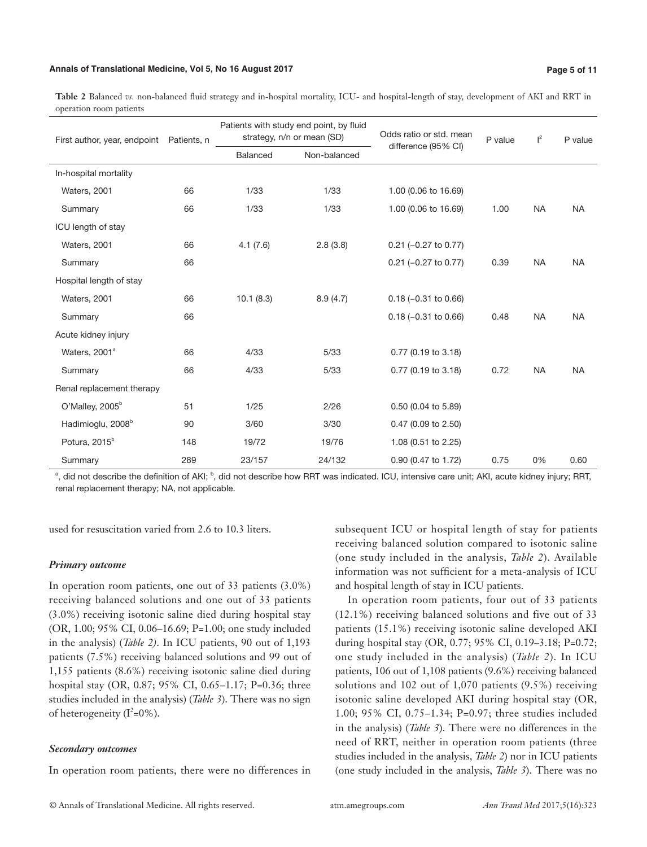#### **Annals of Translational Medicine, Vol 5, No 16 August 2017 Page 5 of 11**

**Table 2** Balanced *vs.* non-balanced fluid strategy and in-hospital mortality, ICU- and hospital-length of stay, development of AKI and RRT in operation room patients

| First author, year, endpoint  | Patients, n |           | Patients with study end point, by fluid<br>strategy, n/n or mean (SD) | Odds ratio or std. mean<br>difference (95% CI) | P value | $\vert^2$ | P value   |
|-------------------------------|-------------|-----------|-----------------------------------------------------------------------|------------------------------------------------|---------|-----------|-----------|
|                               |             | Balanced  | Non-balanced                                                          |                                                |         |           |           |
| In-hospital mortality         |             |           |                                                                       |                                                |         |           |           |
| <b>Waters, 2001</b>           | 66          | 1/33      | 1/33                                                                  | 1.00 (0.06 to 16.69)                           |         |           |           |
| Summary                       | 66          | 1/33      | 1/33                                                                  | 1.00 (0.06 to 16.69)                           | 1.00    | <b>NA</b> | <b>NA</b> |
| ICU length of stay            |             |           |                                                                       |                                                |         |           |           |
| Waters, 2001                  | 66          | 4.1(7.6)  | 2.8(3.8)                                                              | $0.21$ (-0.27 to 0.77)                         |         |           |           |
| Summary                       | 66          |           |                                                                       | $0.21$ (-0.27 to 0.77)                         | 0.39    | <b>NA</b> | <b>NA</b> |
| Hospital length of stay       |             |           |                                                                       |                                                |         |           |           |
| <b>Waters, 2001</b>           | 66          | 10.1(8.3) | 8.9(4.7)                                                              | $0.18 (-0.31 to 0.66)$                         |         |           |           |
| Summary                       | 66          |           |                                                                       | $0.18 (-0.31)$ to $0.66$ )                     | 0.48    | <b>NA</b> | <b>NA</b> |
| Acute kidney injury           |             |           |                                                                       |                                                |         |           |           |
| Waters, 2001 <sup>a</sup>     | 66          | 4/33      | 5/33                                                                  | 0.77 (0.19 to 3.18)                            |         |           |           |
| Summary                       | 66          | 4/33      | 5/33                                                                  | 0.77 (0.19 to 3.18)                            | 0.72    | <b>NA</b> | <b>NA</b> |
| Renal replacement therapy     |             |           |                                                                       |                                                |         |           |           |
| O'Malley, 2005 <sup>b</sup>   | 51          | 1/25      | 2/26                                                                  | 0.50 (0.04 to 5.89)                            |         |           |           |
| Hadimioglu, 2008 <sup>b</sup> | 90          | 3/60      | 3/30                                                                  | 0.47 (0.09 to 2.50)                            |         |           |           |
| Potura, 2015 <sup>b</sup>     | 148         | 19/72     | 19/76                                                                 | 1.08 (0.51 to 2.25)                            |         |           |           |
| Summary                       | 289         | 23/157    | 24/132                                                                | 0.90 (0.47 to 1.72)                            | 0.75    | 0%        | 0.60      |

<sup>a</sup>, did not describe the definition of AKI; <sup>b</sup>, did not describe how RRT was indicated. ICU, intensive care unit; AKI, acute kidney injury; RRT, renal replacement therapy; NA, not applicable.

used for resuscitation varied from 2.6 to 10.3 liters.

## *Primary outcome*

In operation room patients, one out of 33 patients (3.0%) receiving balanced solutions and one out of 33 patients (3.0%) receiving isotonic saline died during hospital stay (OR, 1.00; 95% CI, 0.06–16.69; P=1.00; one study included in the analysis) (*Table 2)*. In ICU patients, 90 out of 1,193 patients (7.5%) receiving balanced solutions and 99 out of 1,155 patients (8.6%) receiving isotonic saline died during hospital stay (OR, 0.87; 95% CI, 0.65–1.17; P=0.36; three studies included in the analysis) (*Table 3*). There was no sign of heterogeneity  $(I^2=0\%)$ .

#### *Secondary outcomes*

In operation room patients, there were no differences in

subsequent ICU or hospital length of stay for patients receiving balanced solution compared to isotonic saline (one study included in the analysis, *Table 2*). Available information was not sufficient for a meta-analysis of ICU and hospital length of stay in ICU patients.

In operation room patients, four out of 33 patients (12.1%) receiving balanced solutions and five out of 33 patients (15.1%) receiving isotonic saline developed AKI during hospital stay (OR, 0.77; 95% CI, 0.19–3.18; P=0.72; one study included in the analysis) (*Table 2*). In ICU patients, 106 out of 1,108 patients (9.6%) receiving balanced solutions and 102 out of 1,070 patients (9.5%) receiving isotonic saline developed AKI during hospital stay (OR, 1.00; 95% CI, 0.75–1.34; P=0.97; three studies included in the analysis) (*Table 3*). There were no differences in the need of RRT, neither in operation room patients (three studies included in the analysis, *Table 2*) nor in ICU patients (one study included in the analysis, *Table 3*). There was no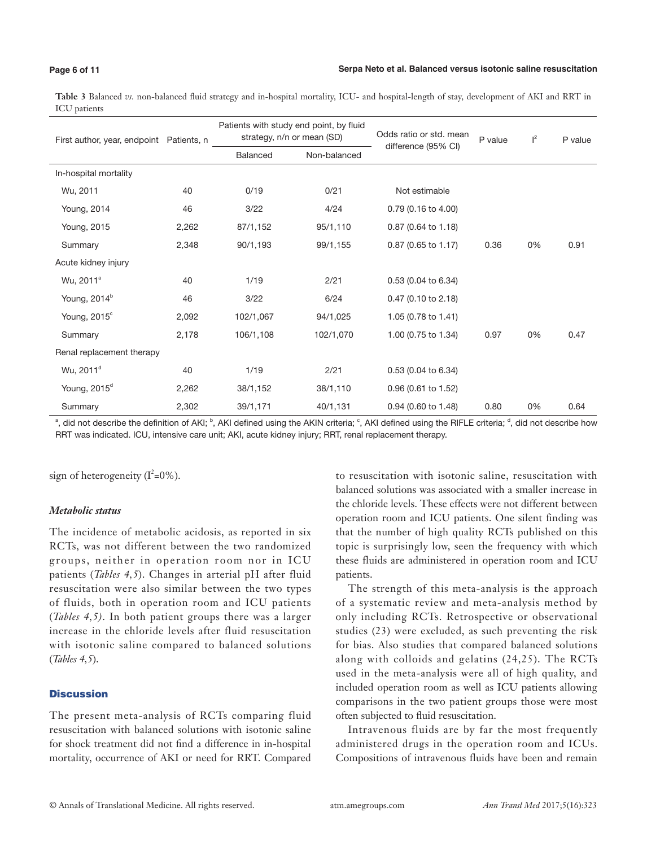# **Page 6 of 11**

#### **Serpa Neto et al. Balanced versus isotonic saline resuscitation**

**Table 3** Balanced *vs.* non-balanced fluid strategy and in-hospital mortality, ICU- and hospital-length of stay, development of AKI and RRT in ICU patients

| First author, year, endpoint Patients, n |       |           | Patients with study end point, by fluid<br>strategy, n/n or mean (SD) | Odds ratio or std. mean<br>difference (95% CI) | P value | $\vert^2$ | P value |
|------------------------------------------|-------|-----------|-----------------------------------------------------------------------|------------------------------------------------|---------|-----------|---------|
|                                          |       | Balanced  | Non-balanced                                                          |                                                |         |           |         |
| In-hospital mortality                    |       |           |                                                                       |                                                |         |           |         |
| Wu, 2011                                 | 40    | 0/19      | 0/21                                                                  | Not estimable                                  |         |           |         |
| Young, 2014                              | 46    | 3/22      | 4/24                                                                  | 0.79 (0.16 to 4.00)                            |         |           |         |
| Young, 2015                              | 2,262 | 87/1,152  | 95/1,110                                                              | 0.87 (0.64 to 1.18)                            |         |           |         |
| Summary                                  | 2,348 | 90/1,193  | 99/1,155                                                              | 0.87 (0.65 to 1.17)                            | 0.36    | 0%        | 0.91    |
| Acute kidney injury                      |       |           |                                                                       |                                                |         |           |         |
| Wu, 2011 <sup>a</sup>                    | 40    | 1/19      | 2/21                                                                  | 0.53 (0.04 to 6.34)                            |         |           |         |
| Young, 2014 <sup>b</sup>                 | 46    | 3/22      | 6/24                                                                  | 0.47 (0.10 to 2.18)                            |         |           |         |
| Young, 2015°                             | 2,092 | 102/1,067 | 94/1,025                                                              | 1.05 (0.78 to 1.41)                            |         |           |         |
| Summary                                  | 2,178 | 106/1,108 | 102/1,070                                                             | 1.00 (0.75 to 1.34)                            | 0.97    | 0%        | 0.47    |
| Renal replacement therapy                |       |           |                                                                       |                                                |         |           |         |
| Wu, 2011 <sup>d</sup>                    | 40    | 1/19      | 2/21                                                                  | 0.53 (0.04 to 6.34)                            |         |           |         |
| Young, 2015 <sup>d</sup>                 | 2,262 | 38/1,152  | 38/1,110                                                              | 0.96 (0.61 to 1.52)                            |         |           |         |
| Summary                                  | 2,302 | 39/1,171  | 40/1,131                                                              | 0.94 (0.60 to 1.48)                            | 0.80    | 0%        | 0.64    |

<sup>a</sup>, did not describe the definition of AKI; <sup>b</sup>, AKI defined using the AKIN criteria; <sup>c</sup>, AKI defined using the RIFLE criteria; <sup>d</sup>, did not describe how RRT was indicated. ICU, intensive care unit; AKI, acute kidney injury; RRT, renal replacement therapy.

sign of heterogeneity  $(I^2=0\%)$ .

# *Metabolic status*

The incidence of metabolic acidosis, as reported in six RCTs, was not different between the two randomized groups, neither in operation room nor in ICU patients (*Tables 4,5*). Changes in arterial pH after fluid resuscitation were also similar between the two types of fluids, both in operation room and ICU patients (*Tables 4,5)*. In both patient groups there was a larger increase in the chloride levels after fluid resuscitation with isotonic saline compared to balanced solutions (*Tables 4,5*).

# **Discussion**

The present meta-analysis of RCTs comparing fluid resuscitation with balanced solutions with isotonic saline for shock treatment did not find a difference in in-hospital mortality, occurrence of AKI or need for RRT. Compared

to resuscitation with isotonic saline, resuscitation with balanced solutions was associated with a smaller increase in the chloride levels. These effects were not different between operation room and ICU patients. One silent finding was that the number of high quality RCTs published on this topic is surprisingly low, seen the frequency with which these fluids are administered in operation room and ICU patients.

The strength of this meta-analysis is the approach of a systematic review and meta-analysis method by only including RCTs. Retrospective or observational studies (23) were excluded, as such preventing the risk for bias. Also studies that compared balanced solutions along with colloids and gelatins (24,25). The RCTs used in the meta-analysis were all of high quality, and included operation room as well as ICU patients allowing comparisons in the two patient groups those were most often subjected to fluid resuscitation.

Intravenous fluids are by far the most frequently administered drugs in the operation room and ICUs. Compositions of intravenous fluids have been and remain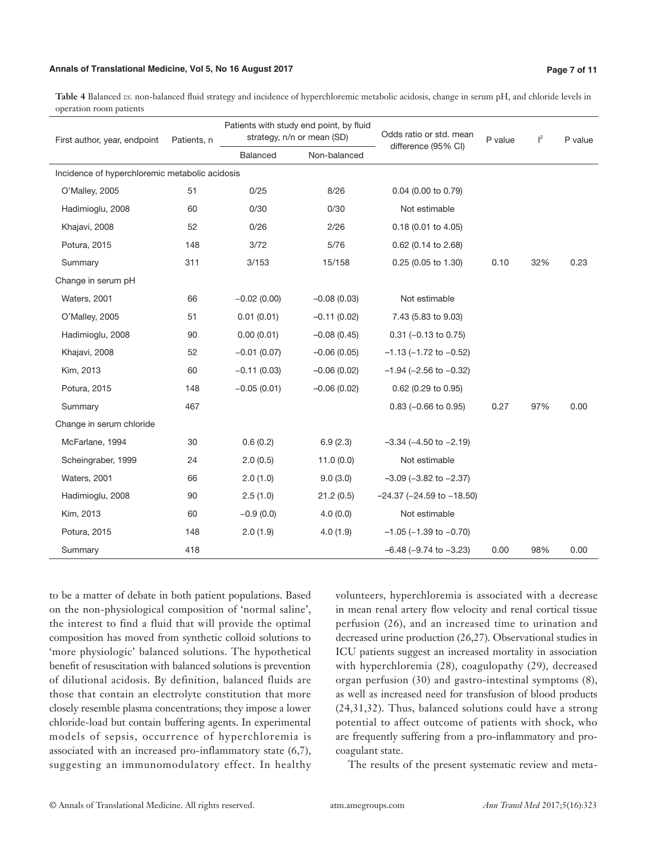#### **Annals of Translational Medicine, Vol 5, No 16 August 2017 Page 7 of 11**

**Table 4** Balanced *vs.* non-balanced fluid strategy and incidence of hyperchloremic metabolic acidosis, change in serum pH, and chloride levels in operation room patients

| First author, year, endpoint                   | Patients, n |                 | Patients with study end point, by fluid<br>strategy, n/n or mean (SD) | Odds ratio or std. mean           | P value | $\vert^2$ | P value |
|------------------------------------------------|-------------|-----------------|-----------------------------------------------------------------------|-----------------------------------|---------|-----------|---------|
|                                                |             | <b>Balanced</b> | Non-balanced                                                          | difference (95% CI)               |         |           |         |
| Incidence of hyperchloremic metabolic acidosis |             |                 |                                                                       |                                   |         |           |         |
| O'Malley, 2005                                 | 51          | 0/25            | 8/26                                                                  | 0.04 (0.00 to 0.79)               |         |           |         |
| Hadimioglu, 2008                               | 60          | 0/30            | 0/30                                                                  | Not estimable                     |         |           |         |
| Khajavi, 2008                                  | 52          | 0/26            | 2/26                                                                  | 0.18 (0.01 to 4.05)               |         |           |         |
| Potura, 2015                                   | 148         | 3/72            | 5/76                                                                  | 0.62 (0.14 to 2.68)               |         |           |         |
| Summary                                        | 311         | 3/153           | 15/158                                                                | 0.25 (0.05 to 1.30)               | 0.10    | 32%       | 0.23    |
| Change in serum pH                             |             |                 |                                                                       |                                   |         |           |         |
| Waters, 2001                                   | 66          | $-0.02(0.00)$   | $-0.08(0.03)$                                                         | Not estimable                     |         |           |         |
| O'Malley, 2005                                 | 51          | 0.01(0.01)      | $-0.11(0.02)$                                                         | 7.43 (5.83 to 9.03)               |         |           |         |
| Hadimioglu, 2008                               | 90          | 0.00(0.01)      | $-0.08(0.45)$                                                         | $0.31$ (-0.13 to 0.75)            |         |           |         |
| Khajavi, 2008                                  | 52          | $-0.01(0.07)$   | $-0.06(0.05)$                                                         | $-1.13$ ( $-1.72$ to $-0.52$ )    |         |           |         |
| Kim, 2013                                      | 60          | $-0.11(0.03)$   | $-0.06(0.02)$                                                         | $-1.94$ ( $-2.56$ to $-0.32$ )    |         |           |         |
| Potura, 2015                                   | 148         | $-0.05(0.01)$   | $-0.06(0.02)$                                                         | 0.62 (0.29 to 0.95)               |         |           |         |
| Summary                                        | 467         |                 |                                                                       | $0.83$ (-0.66 to 0.95)            | 0.27    | 97%       | 0.00    |
| Change in serum chloride                       |             |                 |                                                                       |                                   |         |           |         |
| McFarlane, 1994                                | 30          | 0.6(0.2)        | 6.9(2.3)                                                              | $-3.34$ ( $-4.50$ to $-2.19$ )    |         |           |         |
| Scheingraber, 1999                             | 24          | 2.0(0.5)        | 11.0(0.0)                                                             | Not estimable                     |         |           |         |
| Waters, 2001                                   | 66          | 2.0(1.0)        | 9.0(3.0)                                                              | $-3.09$ ( $-3.82$ to $-2.37$ )    |         |           |         |
| Hadimioglu, 2008                               | 90          | 2.5(1.0)        | 21.2(0.5)                                                             | $-24.37$ ( $-24.59$ to $-18.50$ ) |         |           |         |
| Kim, 2013                                      | 60          | $-0.9(0.0)$     | 4.0(0.0)                                                              | Not estimable                     |         |           |         |
| Potura, 2015                                   | 148         | 2.0(1.9)        | 4.0(1.9)                                                              | $-1.05$ ( $-1.39$ to $-0.70$ )    |         |           |         |
| Summary                                        | 418         |                 |                                                                       | $-6.48$ ( $-9.74$ to $-3.23$ )    | 0.00    | 98%       | 0.00    |

to be a matter of debate in both patient populations. Based on the non-physiological composition of 'normal saline', the interest to find a fluid that will provide the optimal composition has moved from synthetic colloid solutions to 'more physiologic' balanced solutions. The hypothetical benefit of resuscitation with balanced solutions is prevention of dilutional acidosis. By definition, balanced fluids are those that contain an electrolyte constitution that more closely resemble plasma concentrations; they impose a lower chloride-load but contain buffering agents. In experimental models of sepsis, occurrence of hyperchloremia is associated with an increased pro-inflammatory state (6,7), suggesting an immunomodulatory effect. In healthy

volunteers, hyperchloremia is associated with a decrease in mean renal artery flow velocity and renal cortical tissue perfusion (26), and an increased time to urination and decreased urine production (26,27). Observational studies in ICU patients suggest an increased mortality in association with hyperchloremia (28), coagulopathy (29), decreased organ perfusion (30) and gastro-intestinal symptoms (8), as well as increased need for transfusion of blood products (24,31,32). Thus, balanced solutions could have a strong potential to affect outcome of patients with shock, who are frequently suffering from a pro-inflammatory and procoagulant state.

The results of the present systematic review and meta-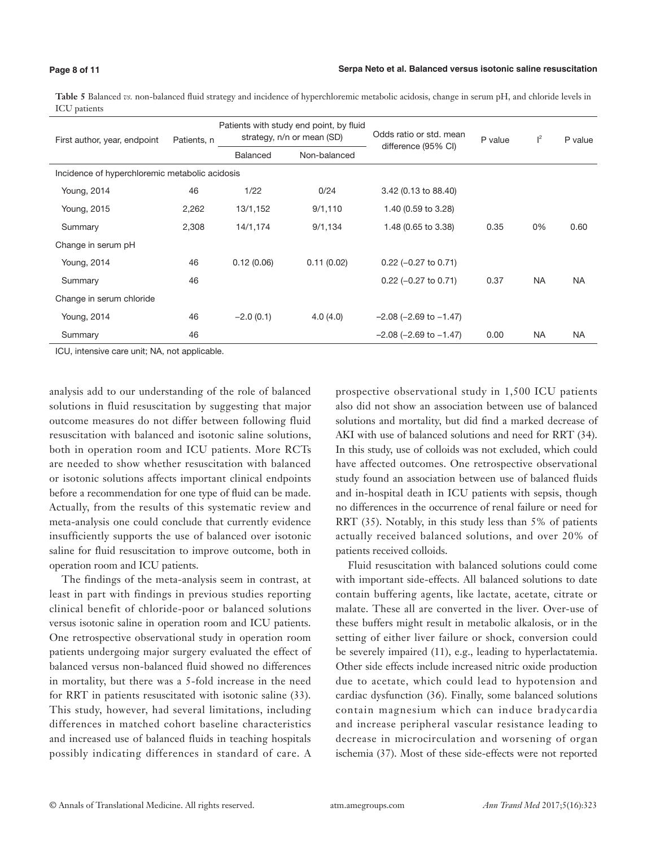#### **Page 8 of 11**

# **Serpa Neto et al. Balanced versus isotonic saline resuscitation**

**Table 5** Balanced *vs.* non-balanced fluid strategy and incidence of hyperchloremic metabolic acidosis, change in serum pH, and chloride levels in ICU patients

| First author, year, endpoint                   | Patients, n |                 | Patients with study end point, by fluid<br>strategy, n/n or mean (SD) | Odds ratio or std. mean<br>difference (95% CI) | P value | $\mathsf{I}^2$ | P value   |
|------------------------------------------------|-------------|-----------------|-----------------------------------------------------------------------|------------------------------------------------|---------|----------------|-----------|
|                                                |             | <b>Balanced</b> | Non-balanced                                                          |                                                |         |                |           |
| Incidence of hyperchloremic metabolic acidosis |             |                 |                                                                       |                                                |         |                |           |
| Young, 2014                                    | 46          | 1/22            | 0/24                                                                  | 3.42 (0.13 to 88.40)                           |         |                |           |
| Young, 2015                                    | 2,262       | 13/1,152        | 9/1,110                                                               | 1.40 (0.59 to 3.28)                            |         |                |           |
| Summary                                        | 2,308       | 14/1,174        | 9/1,134                                                               | 1.48 (0.65 to 3.38)                            | 0.35    | 0%             | 0.60      |
| Change in serum pH                             |             |                 |                                                                       |                                                |         |                |           |
| Young, 2014                                    | 46          | 0.12(0.06)      | 0.11(0.02)                                                            | $0.22$ (-0.27 to 0.71)                         |         |                |           |
| Summary                                        | 46          |                 |                                                                       | $0.22$ (-0.27 to 0.71)                         | 0.37    | <b>NA</b>      | <b>NA</b> |
| Change in serum chloride                       |             |                 |                                                                       |                                                |         |                |           |
| Young, 2014                                    | 46          | $-2.0(0.1)$     | 4.0(4.0)                                                              | $-2.08$ ( $-2.69$ to $-1.47$ )                 |         |                |           |
| Summary                                        | 46          |                 |                                                                       | $-2.08$ ( $-2.69$ to $-1.47$ )                 | 0.00    | <b>NA</b>      | <b>NA</b> |

ICU, intensive care unit; NA, not applicable.

analysis add to our understanding of the role of balanced solutions in fluid resuscitation by suggesting that major outcome measures do not differ between following fluid resuscitation with balanced and isotonic saline solutions, both in operation room and ICU patients. More RCTs are needed to show whether resuscitation with balanced or isotonic solutions affects important clinical endpoints before a recommendation for one type of fluid can be made. Actually, from the results of this systematic review and meta-analysis one could conclude that currently evidence insufficiently supports the use of balanced over isotonic saline for fluid resuscitation to improve outcome, both in operation room and ICU patients.

The findings of the meta-analysis seem in contrast, at least in part with findings in previous studies reporting clinical benefit of chloride-poor or balanced solutions versus isotonic saline in operation room and ICU patients. One retrospective observational study in operation room patients undergoing major surgery evaluated the effect of balanced versus non-balanced fluid showed no differences in mortality, but there was a 5-fold increase in the need for RRT in patients resuscitated with isotonic saline (33). This study, however, had several limitations, including differences in matched cohort baseline characteristics and increased use of balanced fluids in teaching hospitals possibly indicating differences in standard of care. A prospective observational study in 1,500 ICU patients also did not show an association between use of balanced solutions and mortality, but did find a marked decrease of AKI with use of balanced solutions and need for RRT (34). In this study, use of colloids was not excluded, which could have affected outcomes. One retrospective observational study found an association between use of balanced fluids and in-hospital death in ICU patients with sepsis, though no differences in the occurrence of renal failure or need for RRT (35). Notably, in this study less than 5% of patients actually received balanced solutions, and over 20% of patients received colloids.

Fluid resuscitation with balanced solutions could come with important side-effects. All balanced solutions to date contain buffering agents, like lactate, acetate, citrate or malate. These all are converted in the liver. Over-use of these buffers might result in metabolic alkalosis, or in the setting of either liver failure or shock, conversion could be severely impaired (11), e.g., leading to hyperlactatemia. Other side effects include increased nitric oxide production due to acetate, which could lead to hypotension and cardiac dysfunction (36). Finally, some balanced solutions contain magnesium which can induce bradycardia and increase peripheral vascular resistance leading to decrease in microcirculation and worsening of organ ischemia (37). Most of these side-effects were not reported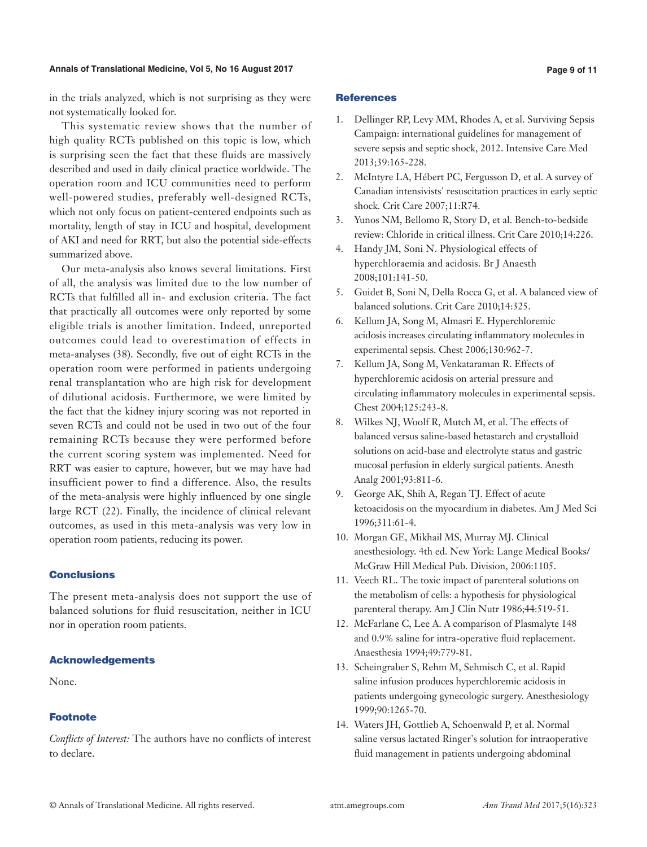#### **Annals of Translational Medicine, Vol 5, No 16 August 2017 Page 9 of 11**

in the trials analyzed, which is not surprising as they were not systematically looked for.

This systematic review shows that the number of high quality RCTs published on this topic is low, which is surprising seen the fact that these fluids are massively described and used in daily clinical practice worldwide. The operation room and ICU communities need to perform well-powered studies, preferably well-designed RCTs, which not only focus on patient-centered endpoints such as mortality, length of stay in ICU and hospital, development of AKI and need for RRT, but also the potential side-effects summarized above.

Our meta-analysis also knows several limitations. First of all, the analysis was limited due to the low number of RCTs that fulfilled all in- and exclusion criteria. The fact that practically all outcomes were only reported by some eligible trials is another limitation. Indeed, unreported outcomes could lead to overestimation of effects in meta-analyses (38). Secondly, five out of eight RCTs in the operation room were performed in patients undergoing renal transplantation who are high risk for development of dilutional acidosis. Furthermore, we were limited by the fact that the kidney injury scoring was not reported in seven RCTs and could not be used in two out of the four remaining RCTs because they were performed before the current scoring system was implemented. Need for RRT was easier to capture, however, but we may have had insufficient power to find a difference. Also, the results of the meta-analysis were highly influenced by one single large RCT (22). Finally, the incidence of clinical relevant outcomes, as used in this meta-analysis was very low in operation room patients, reducing its power.

# Conclusions

The present meta-analysis does not support the use of balanced solutions for fluid resuscitation, neither in ICU nor in operation room patients.

#### Acknowledgements

None.

# Footnote

*Conflicts of Interest:* The authors have no conflicts of interest to declare.

#### **References**

- 1. Dellinger RP, Levy MM, Rhodes A, et al. Surviving Sepsis Campaign: international guidelines for management of severe sepsis and septic shock, 2012. Intensive Care Med 2013;39:165-228.
- 2. McIntyre LA, Hébert PC, Fergusson D, et al. A survey of Canadian intensivists' resuscitation practices in early septic shock. Crit Care 2007;11:R74.
- 3. Yunos NM, Bellomo R, Story D, et al. Bench-to-bedside review: Chloride in critical illness. Crit Care 2010;14:226.
- 4. Handy JM, Soni N. Physiological effects of hyperchloraemia and acidosis. Br J Anaesth 2008;101:141-50.
- 5. Guidet B, Soni N, Della Rocca G, et al. A balanced view of balanced solutions. Crit Care 2010;14:325.
- 6. Kellum JA, Song M, Almasri E. Hyperchloremic acidosis increases circulating inflammatory molecules in experimental sepsis. Chest 2006;130:962-7.
- 7. Kellum JA, Song M, Venkataraman R. Effects of hyperchloremic acidosis on arterial pressure and circulating inflammatory molecules in experimental sepsis. Chest 2004;125:243-8.
- 8. Wilkes NJ, Woolf R, Mutch M, et al. The effects of balanced versus saline-based hetastarch and crystalloid solutions on acid-base and electrolyte status and gastric mucosal perfusion in elderly surgical patients. Anesth Analg 2001;93:811-6.
- 9. George AK, Shih A, Regan TJ. Effect of acute ketoacidosis on the myocardium in diabetes. Am J Med Sci 1996;311:61-4.
- 10. Morgan GE, Mikhail MS, Murray MJ. Clinical anesthesiology. 4th ed. New York: Lange Medical Books/ McGraw Hill Medical Pub. Division, 2006:1105.
- 11. Veech RL. The toxic impact of parenteral solutions on the metabolism of cells: a hypothesis for physiological parenteral therapy. Am J Clin Nutr 1986;44:519-51.
- 12. McFarlane C, Lee A. A comparison of Plasmalyte 148 and 0.9% saline for intra-operative fluid replacement. Anaesthesia 1994;49:779-81.
- 13. Scheingraber S, Rehm M, Sehmisch C, et al. Rapid saline infusion produces hyperchloremic acidosis in patients undergoing gynecologic surgery. Anesthesiology 1999;90:1265-70.
- 14. Waters JH, Gottlieb A, Schoenwald P, et al. Normal saline versus lactated Ringer's solution for intraoperative fluid management in patients undergoing abdominal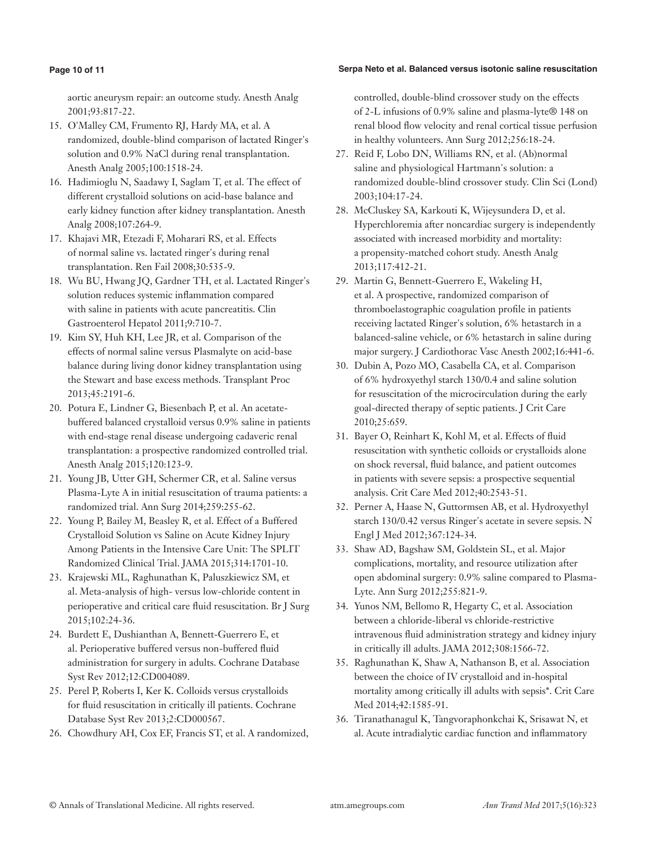# **Page 10 of 11**

# **Serpa Neto et al. Balanced versus isotonic saline resuscitation**

aortic aneurysm repair: an outcome study. Anesth Analg 2001;93:817-22.

- 15. O'Malley CM, Frumento RJ, Hardy MA, et al. A randomized, double-blind comparison of lactated Ringer's solution and 0.9% NaCl during renal transplantation. Anesth Analg 2005;100:1518-24.
- 16. Hadimioglu N, Saadawy I, Saglam T, et al. The effect of different crystalloid solutions on acid-base balance and early kidney function after kidney transplantation. Anesth Analg 2008;107:264-9.
- 17. Khajavi MR, Etezadi F, Moharari RS, et al. Effects of normal saline vs. lactated ringer's during renal transplantation. Ren Fail 2008;30:535-9.
- 18. Wu BU, Hwang JQ, Gardner TH, et al. Lactated Ringer's solution reduces systemic inflammation compared with saline in patients with acute pancreatitis. Clin Gastroenterol Hepatol 2011;9:710-7.
- 19. Kim SY, Huh KH, Lee JR, et al. Comparison of the effects of normal saline versus Plasmalyte on acid-base balance during living donor kidney transplantation using the Stewart and base excess methods. Transplant Proc 2013;45:2191-6.
- 20. Potura E, Lindner G, Biesenbach P, et al. An acetatebuffered balanced crystalloid versus 0.9% saline in patients with end-stage renal disease undergoing cadaveric renal transplantation: a prospective randomized controlled trial. Anesth Analg 2015;120:123-9.
- 21. Young JB, Utter GH, Schermer CR, et al. Saline versus Plasma-Lyte A in initial resuscitation of trauma patients: a randomized trial. Ann Surg 2014;259:255-62.
- 22. Young P, Bailey M, Beasley R, et al. Effect of a Buffered Crystalloid Solution vs Saline on Acute Kidney Injury Among Patients in the Intensive Care Unit: The SPLIT Randomized Clinical Trial. JAMA 2015;314:1701-10.
- 23. Krajewski ML, Raghunathan K, Paluszkiewicz SM, et al. Meta-analysis of high- versus low-chloride content in perioperative and critical care fluid resuscitation. Br J Surg 2015;102:24-36.
- 24. Burdett E, Dushianthan A, Bennett-Guerrero E, et al. Perioperative buffered versus non-buffered fluid administration for surgery in adults. Cochrane Database Syst Rev 2012;12:CD004089.
- 25. Perel P, Roberts I, Ker K. Colloids versus crystalloids for fluid resuscitation in critically ill patients. Cochrane Database Syst Rev 2013;2:CD000567.
- 26. Chowdhury AH, Cox EF, Francis ST, et al. A randomized,

controlled, double-blind crossover study on the effects of 2-L infusions of 0.9% saline and plasma-lyte® 148 on renal blood flow velocity and renal cortical tissue perfusion in healthy volunteers. Ann Surg 2012;256:18-24.

- 27. Reid F, Lobo DN, Williams RN, et al. (Ab)normal saline and physiological Hartmann's solution: a randomized double-blind crossover study. Clin Sci (Lond) 2003;104:17-24.
- 28. McCluskey SA, Karkouti K, Wijeysundera D, et al. Hyperchloremia after noncardiac surgery is independently associated with increased morbidity and mortality: a propensity-matched cohort study. Anesth Analg 2013;117:412-21.
- 29. Martin G, Bennett-Guerrero E, Wakeling H, et al. A prospective, randomized comparison of thromboelastographic coagulation profile in patients receiving lactated Ringer's solution, 6% hetastarch in a balanced-saline vehicle, or 6% hetastarch in saline during major surgery. J Cardiothorac Vasc Anesth 2002;16:441-6.
- 30. Dubin A, Pozo MO, Casabella CA, et al. Comparison of 6% hydroxyethyl starch 130/0.4 and saline solution for resuscitation of the microcirculation during the early goal-directed therapy of septic patients. J Crit Care 2010;25:659.
- 31. Bayer O, Reinhart K, Kohl M, et al. Effects of fluid resuscitation with synthetic colloids or crystalloids alone on shock reversal, fluid balance, and patient outcomes in patients with severe sepsis: a prospective sequential analysis. Crit Care Med 2012;40:2543-51.
- 32. Perner A, Haase N, Guttormsen AB, et al. Hydroxyethyl starch 130/0.42 versus Ringer's acetate in severe sepsis. N Engl J Med 2012;367:124-34.
- 33. Shaw AD, Bagshaw SM, Goldstein SL, et al. Major complications, mortality, and resource utilization after open abdominal surgery: 0.9% saline compared to Plasma-Lyte. Ann Surg 2012;255:821-9.
- 34. Yunos NM, Bellomo R, Hegarty C, et al. Association between a chloride-liberal vs chloride-restrictive intravenous fluid administration strategy and kidney injury in critically ill adults. JAMA 2012;308:1566-72.
- 35. Raghunathan K, Shaw A, Nathanson B, et al. Association between the choice of IV crystalloid and in-hospital mortality among critically ill adults with sepsis\*. Crit Care Med 2014;42:1585-91.
- 36. Tiranathanagul K, Tangvoraphonkchai K, Srisawat N, et al. Acute intradialytic cardiac function and inflammatory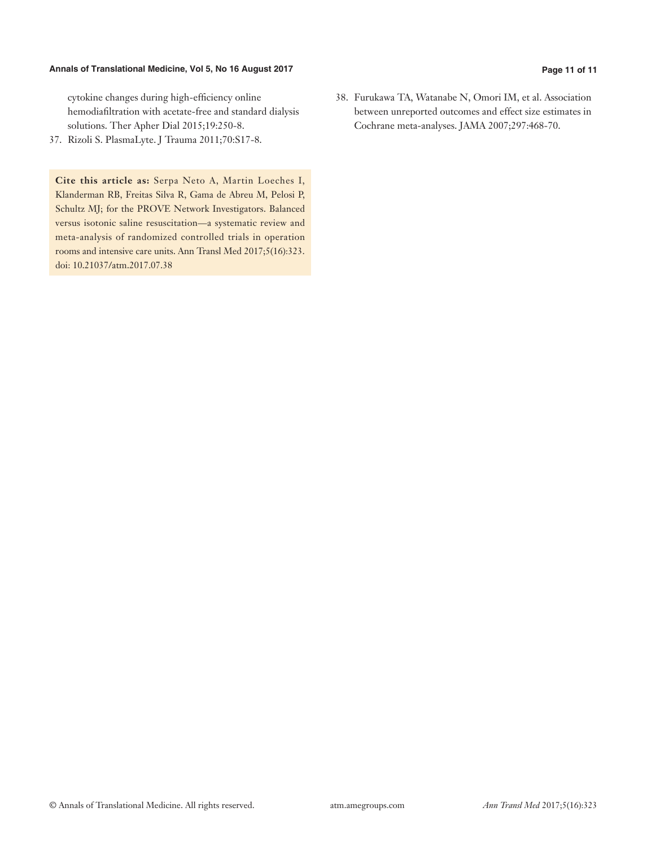# **Annals of Translational Medicine, Vol 5, No 16 August 2017 Page 11 of 11**

cytokine changes during high-efficiency online hemodiafiltration with acetate-free and standard dialysis solutions. Ther Apher Dial 2015;19:250-8.

37. Rizoli S. PlasmaLyte. J Trauma 2011;70:S17-8.

**Cite this article as:** Serpa Neto A, Martin Loeches I, Klanderman RB, Freitas Silva R, Gama de Abreu M, Pelosi P, Schultz MJ; for the PROVE Network Investigators. Balanced versus isotonic saline resuscitation—a systematic review and meta-analysis of randomized controlled trials in operation rooms and intensive care units. Ann Transl Med 2017;5(16):323. doi: 10.21037/atm.2017.07.38

38. Furukawa TA, Watanabe N, Omori IM, et al. Association between unreported outcomes and effect size estimates in Cochrane meta-analyses. JAMA 2007;297:468-70.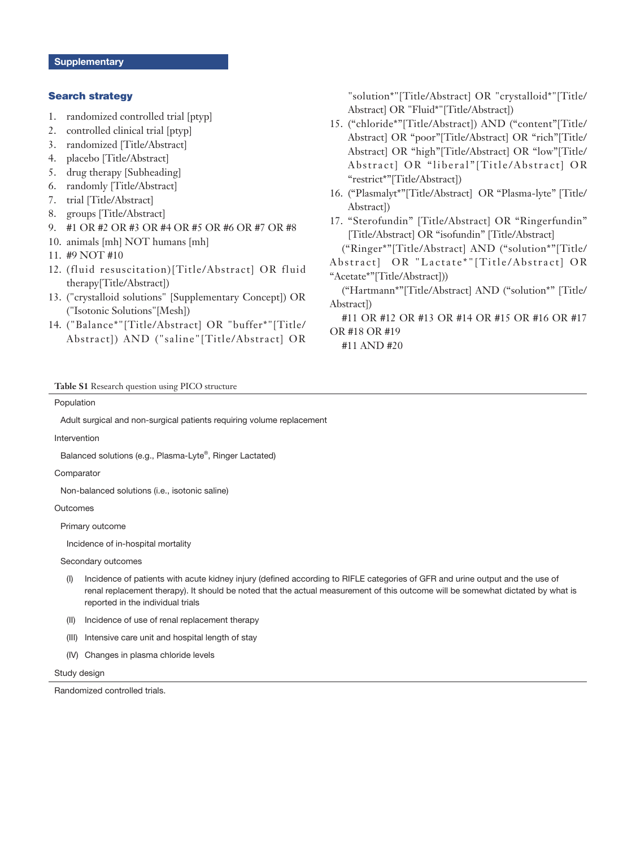### Search strategy

- 1. randomized controlled trial [ptyp]
- 2. controlled clinical trial [ptyp]
- 3. randomized [Title/Abstract]
- 4. placebo [Title/Abstract]
- 5. drug therapy [Subheading]
- 6. randomly [Title/Abstract]
- 7. trial [Title/Abstract]
- 8. groups [Title/Abstract]
- 9. #1 OR #2 OR #3 OR #4 OR #5 OR #6 OR #7 OR #8
- 10. animals [mh] NOT humans [mh]
- 11. #9 NOT #10
- 12. (fluid resuscitation)[Title/Abstract] OR fluid therapy[Title/Abstract])
- 13. ("crystalloid solutions" [Supplementary Concept]) OR ("Isotonic Solutions"[Mesh])
- 14. ("Balance\*"[Title/Abstract] OR "buffer\*"[Title/ Abstract]) AND ("saline"[Title/Abstract] OR

"solution\*"[Title/Abstract] OR "crystalloid\*"[Title/ Abstract] OR "Fluid\*"[Title/Abstract])

- 15. ("chloride\*"[Title/Abstract]) AND ("content"[Title/ Abstract] OR "poor"[Title/Abstract] OR "rich"[Title/ Abstract] OR "high"[Title/Abstract] OR "low"[Title/ Abstract] OR "liberal" [Title/Abstract] OR "restrict\*"[Title/Abstract])
- 16. ("Plasmalyt\*"[Title/Abstract] OR "Plasma-lyte" [Title/ Abstract])
- 17. "Sterofundin" [Title/Abstract] OR "Ringerfundin" [Title/Abstract] OR "isofundin" [Title/Abstract]

("Ringer\*"[Title/Abstract] AND ("solution\*"[Title/

Abstract] OR "Lactate\*"[Title/Abstract] OR "Acetate\*"[Title/Abstract]))

("Hartmann\*"[Title/Abstract] AND ("solution\*" [Title/ Abstract])

#11 OR #12 OR #13 OR #14 OR #15 OR #16 OR #17 OR #18 OR #19

#11 AND #20

**Table S1** Research question using PICO structure

# Population

Adult surgical and non-surgical patients requiring volume replacement

## Intervention

Balanced solutions (e.g., Plasma-Lyte® , Ringer Lactated)

**Comparator** 

Non-balanced solutions (i.e., isotonic saline)

Outcomes

Primary outcome

Incidence of in-hospital mortality

Secondary outcomes

- (I) Incidence of patients with acute kidney injury (defined according to RIFLE categories of GFR and urine output and the use of renal replacement therapy). It should be noted that the actual measurement of this outcome will be somewhat dictated by what is reported in the individual trials
- (II) Incidence of use of renal replacement therapy
- (III) Intensive care unit and hospital length of stay
- (IV) Changes in plasma chloride levels

#### Study design

Randomized controlled trials.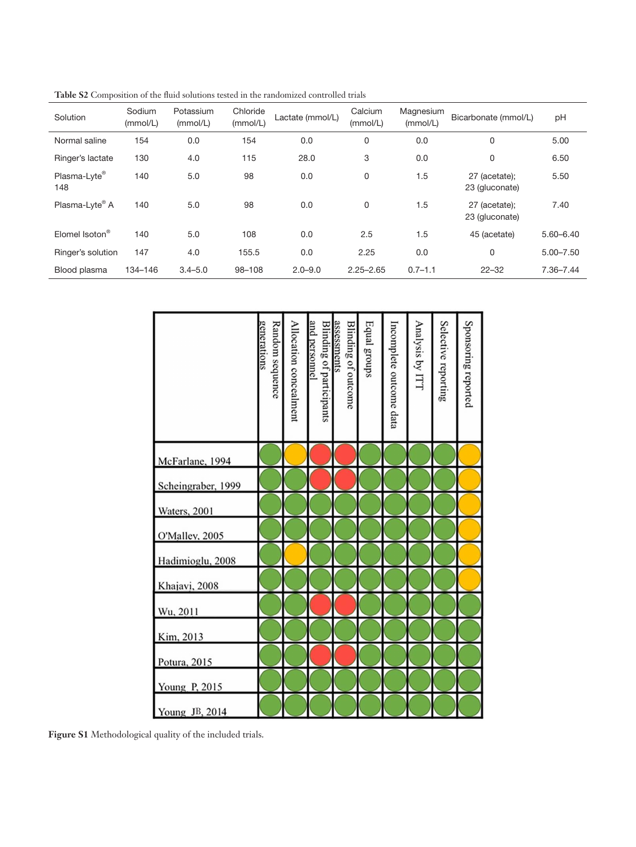| Solution                   | Sodium<br>(mmol/L) | Potassium<br>(mmol/L) | Chloride<br>(mmol/L) | Lactate (mmol/L) | Calcium<br>(mmol/L) | Magnesium<br>(mmol/L) | Bicarbonate (mmol/L)            | pH            |
|----------------------------|--------------------|-----------------------|----------------------|------------------|---------------------|-----------------------|---------------------------------|---------------|
| Normal saline              | 154                | 0.0                   | 154                  | 0.0              | 0                   | 0.0                   | 0                               | 5.00          |
| Ringer's lactate           | 130                | 4.0                   | 115                  | 28.0             | 3                   | 0.0                   | $\mathbf 0$                     | 6.50          |
| Plasma-Lyte®<br>148        | 140                | 5.0                   | 98                   | 0.0              | 0                   | 1.5                   | 27 (acetate);<br>23 (gluconate) | 5.50          |
| Plasma-Lyte® A             | 140                | 5.0                   | 98                   | 0.0              | 0                   | 1.5                   | 27 (acetate);<br>23 (gluconate) | 7.40          |
| Elomel Isoton <sup>®</sup> | 140                | 5.0                   | 108                  | 0.0              | 2.5                 | 1.5                   | 45 (acetate)                    | $5.60 - 6.40$ |
| Ringer's solution          | 147                | 4.0                   | 155.5                | 0.0              | 2.25                | 0.0                   | $\mathbf 0$                     | $5.00 - 7.50$ |
| Blood plasma               | 134-146            | $3.4 - 5.0$           | 98-108               | $2.0 - 9.0$      | $2.25 - 2.65$       | $0.7 - 1.1$           | $22 - 32$                       | 7.36-7.44     |

|  |  | Table S2 Composition of the fluid solutions tested in the randomized controlled trials |  |
|--|--|----------------------------------------------------------------------------------------|--|
|--|--|----------------------------------------------------------------------------------------|--|

|                      | generations<br>Random sequence | Allocation concealment | and personnel<br><b>Blinding of participants</b> | assessments<br>Blinding of outcome | Equal groups | Incomplete outcome data | Analysis by ITT | Selective reporting | Sponsoring reported |
|----------------------|--------------------------------|------------------------|--------------------------------------------------|------------------------------------|--------------|-------------------------|-----------------|---------------------|---------------------|
| McFarlane, 1994      |                                |                        |                                                  |                                    |              |                         |                 |                     |                     |
| Scheingraber, 1999   |                                |                        |                                                  |                                    |              |                         |                 |                     |                     |
| <b>Waters</b> , 2001 |                                |                        |                                                  |                                    |              |                         |                 |                     |                     |
| O'Malley, 2005       |                                |                        |                                                  |                                    |              |                         |                 |                     |                     |
| Hadimioglu, 2008     |                                |                        |                                                  |                                    |              |                         |                 |                     |                     |
| Khajavi, 2008        |                                |                        |                                                  |                                    |              |                         |                 |                     |                     |
| Wu, 2011             |                                |                        |                                                  |                                    |              |                         |                 |                     |                     |
| Kim, 2013            |                                |                        |                                                  |                                    |              |                         |                 |                     |                     |
| Potura, 2015         |                                |                        |                                                  |                                    |              |                         |                 |                     |                     |
| Young P, 2015        |                                |                        |                                                  |                                    |              |                         |                 |                     |                     |
| Young JB, 2014       |                                |                        |                                                  |                                    |              |                         |                 |                     |                     |

**Figure S1** Methodological quality of the included trials.